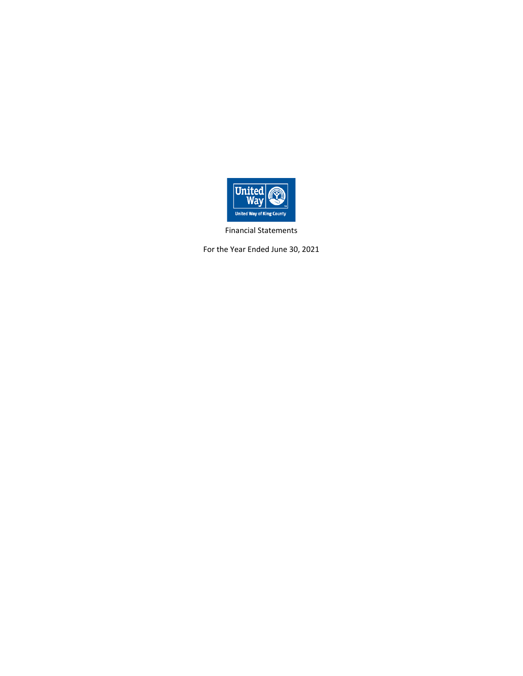

Financial Statements

For the Year Ended June 30, 2021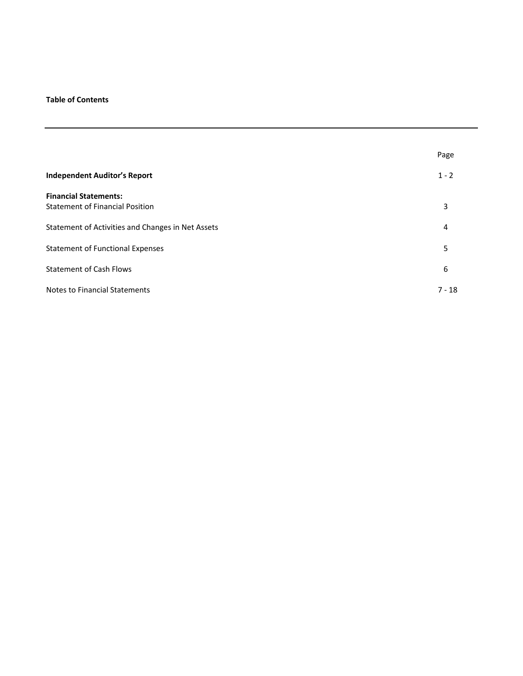# **Table of Contents**

|                                                   | Page     |
|---------------------------------------------------|----------|
| <b>Independent Auditor's Report</b>               | $1 - 2$  |
| <b>Financial Statements:</b>                      |          |
| <b>Statement of Financial Position</b>            | 3        |
| Statement of Activities and Changes in Net Assets | 4        |
| <b>Statement of Functional Expenses</b>           | 5        |
| <b>Statement of Cash Flows</b>                    | 6        |
| <b>Notes to Financial Statements</b>              | $7 - 18$ |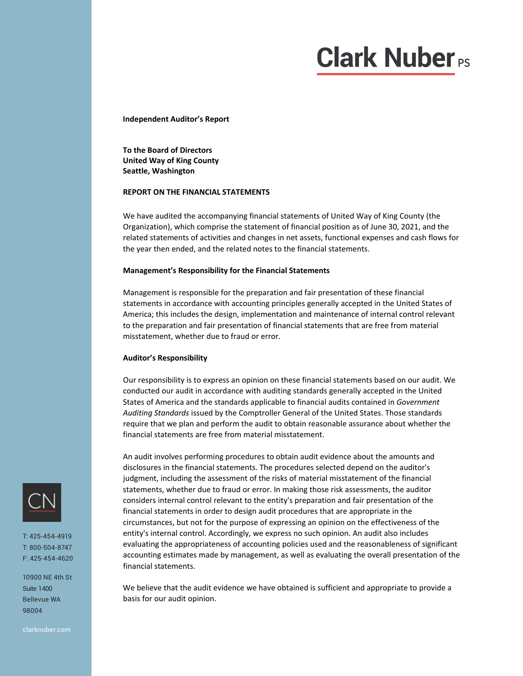# **Clark Nuber**<sub>Ps</sub>

**Independent Auditor's Report**

**To the Board of Directors United Way of King County Seattle, Washington**

#### **REPORT ON THE FINANCIAL STATEMENTS**

We have audited the accompanying financial statements of United Way of King County (the Organization), which comprise the statement of financial position as of June 30, 2021, and the related statements of activities and changes in net assets, functional expenses and cash flows for the year then ended, and the related notes to the financial statements.

#### **Management's Responsibility for the Financial Statements**

Management is responsible for the preparation and fair presentation of these financial statements in accordance with accounting principles generally accepted in the United States of America; this includes the design, implementation and maintenance of internal control relevant to the preparation and fair presentation of financial statements that are free from material misstatement, whether due to fraud or error.

#### **Auditor's Responsibility**

Our responsibility is to express an opinion on these financial statements based on our audit. We conducted our audit in accordance with auditing standards generally accepted in the United States of America and the standards applicable to financial audits contained in *Government Auditing Standards* issued by the Comptroller General of the United States. Those standards require that we plan and perform the audit to obtain reasonable assurance about whether the financial statements are free from material misstatement.

An audit involves performing procedures to obtain audit evidence about the amounts and disclosures in the financial statements. The procedures selected depend on the auditor's judgment, including the assessment of the risks of material misstatement of the financial statements, whether due to fraud or error. In making those risk assessments, the auditor considers internal control relevant to the entity's preparation and fair presentation of the financial statements in order to design audit procedures that are appropriate in the circumstances, but not for the purpose of expressing an opinion on the effectiveness of the entity's internal control. Accordingly, we express no such opinion. An audit also includes evaluating the appropriateness of accounting policies used and the reasonableness of significant accounting estimates made by management, as well as evaluating the overall presentation of the financial statements.

We believe that the audit evidence we have obtained is sufficient and appropriate to provide a basis for our audit opinion.



T: 425-454-4919 T: 800-504-8747 F: 425-454-4620

10900 NE 4th St Suite 1400 Bellevue WA 98004

clarknuber.com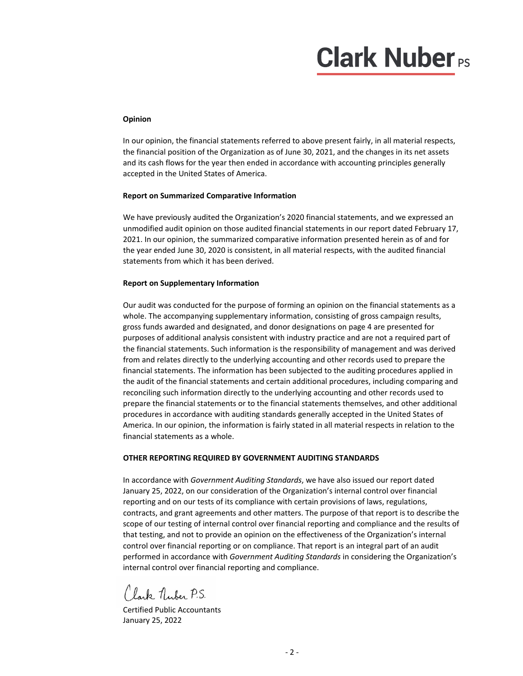# **Clark Nuber**<sub>PS</sub>

#### **Opinion**

In our opinion, the financial statements referred to above present fairly, in all material respects, the financial position of the Organization as of June 30, 2021, and the changes in its net assets and its cash flows for the year then ended in accordance with accounting principles generally accepted in the United States of America.

#### **Report on Summarized Comparative Information**

We have previously audited the Organization's 2020 financial statements, and we expressed an unmodified audit opinion on those audited financial statements in our report dated February 17, 2021. In our opinion, the summarized comparative information presented herein as of and for the year ended June 30, 2020 is consistent, in all material respects, with the audited financial statements from which it has been derived.

#### **Report on Supplementary Information**

Our audit was conducted for the purpose of forming an opinion on the financial statements as a whole. The accompanying supplementary information, consisting of gross campaign results, gross funds awarded and designated, and donor designations on page 4 are presented for purposes of additional analysis consistent with industry practice and are not a required part of the financial statements. Such information is the responsibility of management and was derived from and relates directly to the underlying accounting and other records used to prepare the financial statements. The information has been subjected to the auditing procedures applied in the audit of the financial statements and certain additional procedures, including comparing and reconciling such information directly to the underlying accounting and other records used to prepare the financial statements or to the financial statements themselves, and other additional procedures in accordance with auditing standards generally accepted in the United States of America. In our opinion, the information is fairly stated in all material respects in relation to the financial statements as a whole.

## **OTHER REPORTING REQUIRED BY GOVERNMENT AUDITING STANDARDS**

In accordance with *Government Auditing Standards*, we have also issued our report dated January 25, 2022, on our consideration of the Organization's internal control over financial reporting and on our tests of its compliance with certain provisions of laws, regulations, contracts, and grant agreements and other matters. The purpose of that report is to describe the scope of our testing of internal control over financial reporting and compliance and the results of that testing, and not to provide an opinion on the effectiveness of the Organization's internal control over financial reporting or on compliance. That report is an integral part of an audit performed in accordance with *Government Auditing Standards* in considering the Organization's internal control over financial reporting and compliance.

Clarke Tuber P.S.

Certified Public Accountants January 25, 2022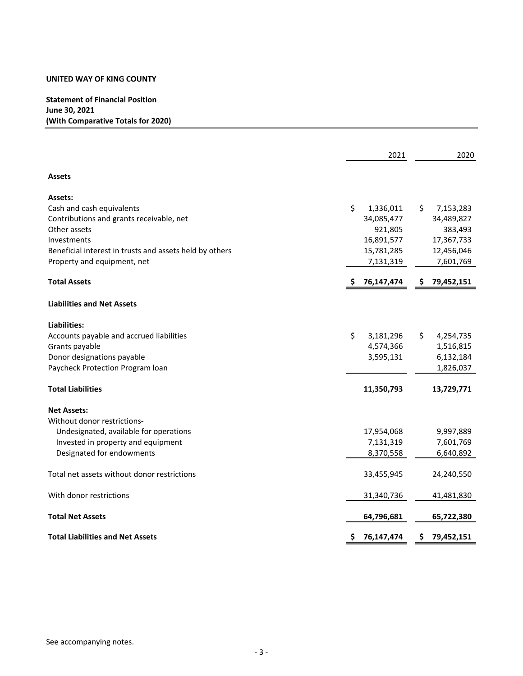# **Statement of Financial Position June 30, 2021 (With Comparative Totals for 2020)**

|                                                         | 2021            |     | 2020         |
|---------------------------------------------------------|-----------------|-----|--------------|
| <b>Assets</b>                                           |                 |     |              |
| <b>Assets:</b>                                          |                 |     |              |
| Cash and cash equivalents                               | \$<br>1,336,011 | \$. | 7,153,283    |
| Contributions and grants receivable, net                | 34,085,477      |     | 34,489,827   |
| Other assets                                            | 921,805         |     | 383,493      |
| Investments                                             | 16,891,577      |     | 17,367,733   |
| Beneficial interest in trusts and assets held by others | 15,781,285      |     | 12,456,046   |
| Property and equipment, net                             | 7,131,319       |     | 7,601,769    |
| <b>Total Assets</b>                                     | \$76,147,474    |     | \$79,452,151 |
| <b>Liabilities and Net Assets</b>                       |                 |     |              |
| Liabilities:                                            |                 |     |              |
| Accounts payable and accrued liabilities                | \$<br>3,181,296 | \$. | 4,254,735    |
| Grants payable                                          | 4,574,366       |     | 1,516,815    |
| Donor designations payable                              | 3,595,131       |     | 6,132,184    |
| Paycheck Protection Program loan                        |                 |     | 1,826,037    |
| <b>Total Liabilities</b>                                | 11,350,793      |     | 13,729,771   |
| <b>Net Assets:</b>                                      |                 |     |              |
| Without donor restrictions-                             |                 |     |              |
| Undesignated, available for operations                  | 17,954,068      |     | 9,997,889    |
| Invested in property and equipment                      | 7,131,319       |     | 7,601,769    |
| Designated for endowments                               | 8,370,558       |     | 6,640,892    |
| Total net assets without donor restrictions             | 33,455,945      |     | 24,240,550   |
| With donor restrictions                                 | 31,340,736      |     | 41,481,830   |
| <b>Total Net Assets</b>                                 | 64,796,681      |     | 65,722,380   |
| <b>Total Liabilities and Net Assets</b>                 | \$76,147,474    |     | \$79,452,151 |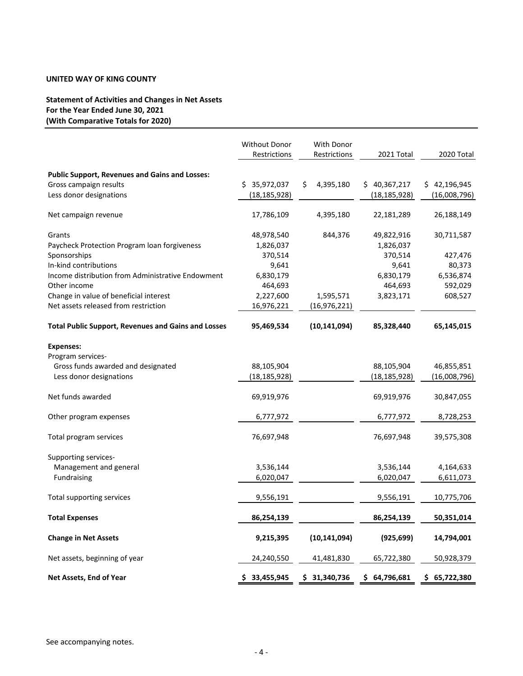# **Statement of Activities and Changes in Net Assets For the Year Ended June 30, 2021 (With Comparative Totals for 2020)**

|                                                            | <b>Without Donor</b><br>Restrictions | With Donor<br>Restrictions | 2021 Total     | 2020 Total   |
|------------------------------------------------------------|--------------------------------------|----------------------------|----------------|--------------|
| <b>Public Support, Revenues and Gains and Losses:</b>      |                                      |                            |                |              |
| Gross campaign results                                     | \$35,972,037                         | 4,395,180<br>\$            | \$40,367,217   | \$42,196,945 |
| Less donor designations                                    | (18, 185, 928)                       |                            | (18, 185, 928) | (16,008,796) |
| Net campaign revenue                                       | 17,786,109                           | 4,395,180                  | 22,181,289     | 26,188,149   |
| Grants                                                     | 48,978,540                           | 844,376                    | 49,822,916     | 30,711,587   |
| Paycheck Protection Program loan forgiveness               | 1,826,037                            |                            | 1,826,037      |              |
| Sponsorships                                               | 370,514                              |                            | 370,514        | 427,476      |
| In-kind contributions                                      | 9,641                                |                            | 9,641          | 80,373       |
| Income distribution from Administrative Endowment          | 6,830,179                            |                            | 6,830,179      | 6,536,874    |
| Other income                                               | 464,693                              |                            | 464,693        | 592,029      |
| Change in value of beneficial interest                     | 2,227,600                            | 1,595,571                  | 3,823,171      | 608,527      |
| Net assets released from restriction                       | 16,976,221                           | (16, 976, 221)             |                |              |
| <b>Total Public Support, Revenues and Gains and Losses</b> | 95,469,534                           | (10, 141, 094)             | 85,328,440     | 65,145,015   |
| <b>Expenses:</b>                                           |                                      |                            |                |              |
| Program services-                                          |                                      |                            |                |              |
| Gross funds awarded and designated                         | 88,105,904                           |                            | 88,105,904     | 46,855,851   |
| Less donor designations                                    | (18,185,928)                         |                            | (18,185,928)   | (16,008,796) |
|                                                            |                                      |                            |                |              |
| Net funds awarded                                          | 69,919,976                           |                            | 69,919,976     | 30,847,055   |
| Other program expenses                                     | 6,777,972                            |                            | 6,777,972      | 8,728,253    |
| Total program services                                     | 76,697,948                           |                            | 76,697,948     | 39,575,308   |
| Supporting services-                                       |                                      |                            |                |              |
| Management and general                                     | 3,536,144                            |                            | 3,536,144      | 4,164,633    |
| Fundraising                                                | 6,020,047                            |                            | 6,020,047      | 6,611,073    |
| Total supporting services                                  | 9,556,191                            |                            | 9,556,191      | 10,775,706   |
| <b>Total Expenses</b>                                      | 86,254,139                           |                            | 86,254,139     | 50,351,014   |
| <b>Change in Net Assets</b>                                | 9,215,395                            | (10, 141, 094)             | (925, 699)     | 14,794,001   |
| Net assets, beginning of year                              | 24,240,550                           | 41,481,830                 | 65,722,380     | 50,928,379   |
| Net Assets, End of Year                                    | \$33,455,945                         | \$31,340,736               | \$64,796,681   | \$65,722,380 |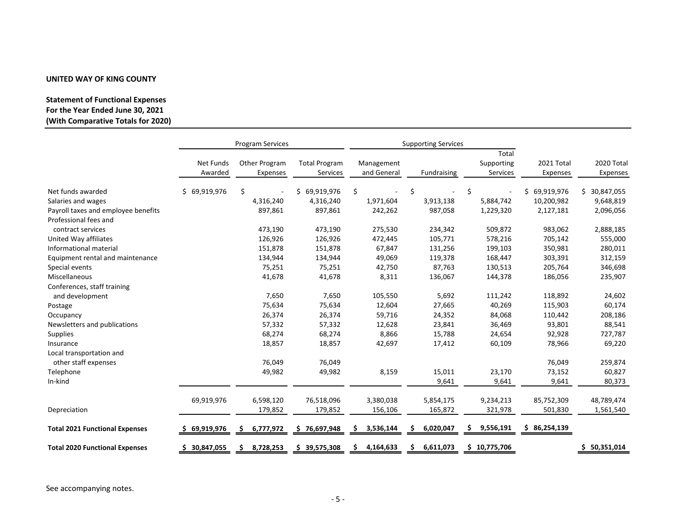## **Statement of Functional Expenses For the Year Ended June 30, 2021 (With Comparative Totals for 2020)**

|                                       |                      | <b>Program Services</b>   |                                  |                           | <b>Supporting Services</b> |                                 |                        |                        |
|---------------------------------------|----------------------|---------------------------|----------------------------------|---------------------------|----------------------------|---------------------------------|------------------------|------------------------|
|                                       | Net Funds<br>Awarded | Other Program<br>Expenses | <b>Total Program</b><br>Services | Management<br>and General | Fundraising                | Total<br>Supporting<br>Services | 2021 Total<br>Expenses | 2020 Total<br>Expenses |
| Net funds awarded                     | \$69,919,976         | Ś.                        | Ś.<br>69,919,976                 | \$                        | Ś.                         | \$                              | Ś.<br>69,919,976       | \$30,847,055           |
| Salaries and wages                    |                      | 4,316,240                 | 4,316,240                        | 1,971,604                 | 3,913,138                  | 5,884,742                       | 10,200,982             | 9,648,819              |
| Payroll taxes and employee benefits   |                      | 897,861                   | 897,861                          | 242,262                   | 987,058                    | 1,229,320                       | 2,127,181              | 2,096,056              |
| Professional fees and                 |                      |                           |                                  |                           |                            |                                 |                        |                        |
| contract services                     |                      | 473,190                   | 473,190                          | 275,530                   | 234,342                    | 509,872                         | 983,062                | 2,888,185              |
| United Way affiliates                 |                      | 126,926                   | 126,926                          | 472,445                   | 105,771                    | 578,216                         | 705,142                | 555,000                |
| Informational material                |                      | 151,878                   | 151,878                          | 67,847                    | 131,256                    | 199,103                         | 350,981                | 280,011                |
| Equipment rental and maintenance      |                      | 134,944                   | 134,944                          | 49,069                    | 119,378                    | 168,447                         | 303,391                | 312,159                |
| Special events                        |                      | 75,251                    | 75,251                           | 42,750                    | 87,763                     | 130,513                         | 205,764                | 346,698                |
| Miscellaneous                         |                      | 41,678                    | 41,678                           | 8,311                     | 136,067                    | 144,378                         | 186,056                | 235,907                |
| Conferences, staff training           |                      |                           |                                  |                           |                            |                                 |                        |                        |
| and development                       |                      | 7,650                     | 7,650                            | 105,550                   | 5,692                      | 111,242                         | 118,892                | 24,602                 |
| Postage                               |                      | 75,634                    | 75,634                           | 12,604                    | 27,665                     | 40,269                          | 115,903                | 60,174                 |
| Occupancy                             |                      | 26,374                    | 26,374                           | 59,716                    | 24,352                     | 84,068                          | 110,442                | 208,186                |
| Newsletters and publications          |                      | 57,332                    | 57,332                           | 12,628                    | 23,841                     | 36,469                          | 93,801                 | 88,541                 |
| Supplies                              |                      | 68,274                    | 68,274                           | 8,866                     | 15,788                     | 24,654                          | 92,928                 | 727,787                |
| Insurance                             |                      | 18,857                    | 18,857                           | 42,697                    | 17,412                     | 60,109                          | 78,966                 | 69,220                 |
| Local transportation and              |                      |                           |                                  |                           |                            |                                 |                        |                        |
| other staff expenses                  |                      | 76,049                    | 76,049                           |                           |                            |                                 | 76,049                 | 259,874                |
| Telephone                             |                      | 49,982                    | 49,982                           | 8,159                     | 15,011                     | 23,170                          | 73,152                 | 60,827                 |
| In-kind                               |                      |                           |                                  |                           | 9,641                      | 9,641                           | 9,641                  | 80,373                 |
|                                       | 69,919,976           | 6,598,120                 | 76,518,096                       | 3,380,038                 | 5,854,175                  | 9,234,213                       | 85,752,309             | 48,789,474             |
| Depreciation                          |                      | 179,852                   | 179,852                          | 156,106                   | 165,872                    | 321,978                         | 501,830                | 1,561,540              |
| <b>Total 2021 Functional Expenses</b> | \$69,919,976         | 6,777,972                 | 76,697,948<br>\$.                | 3,536,144<br>\$.          | 6,020,047                  | 9,556,191<br>s                  | \$86,254,139           |                        |
| <b>Total 2020 Functional Expenses</b> | 30,847,055<br>S.     | 8,728,253                 | \$39,575,308                     | 4,164,633<br>\$           | 6,611,073<br>Ş             | \$10,775,706                    |                        | \$50,351,014           |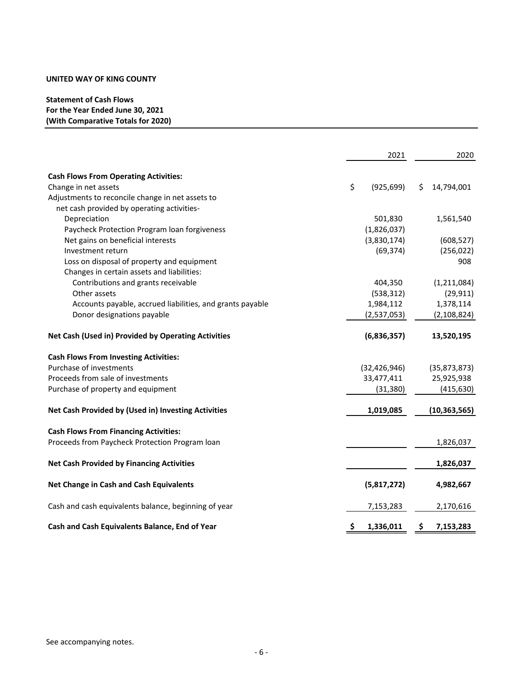# **Statement of Cash Flows For the Year Ended June 30, 2021 (With Comparative Totals for 2020)**

|                                                           | 2021             | 2020             |
|-----------------------------------------------------------|------------------|------------------|
| <b>Cash Flows From Operating Activities:</b>              |                  |                  |
| Change in net assets                                      | \$<br>(925, 699) | \$<br>14,794,001 |
| Adjustments to reconcile change in net assets to          |                  |                  |
| net cash provided by operating activities-                |                  |                  |
| Depreciation                                              | 501,830          | 1,561,540        |
| Paycheck Protection Program loan forgiveness              | (1,826,037)      |                  |
| Net gains on beneficial interests                         | (3,830,174)      | (608, 527)       |
| Investment return                                         | (69, 374)        | (256, 022)       |
| Loss on disposal of property and equipment                |                  | 908              |
| Changes in certain assets and liabilities:                |                  |                  |
| Contributions and grants receivable                       | 404,350          | (1, 211, 084)    |
| Other assets                                              | (538, 312)       | (29, 911)        |
| Accounts payable, accrued liabilities, and grants payable | 1,984,112        | 1,378,114        |
| Donor designations payable                                | (2,537,053)      | (2, 108, 824)    |
| Net Cash (Used in) Provided by Operating Activities       | (6,836,357)      | 13,520,195       |
| <b>Cash Flows From Investing Activities:</b>              |                  |                  |
| Purchase of investments                                   | (32, 426, 946)   | (35, 873, 873)   |
| Proceeds from sale of investments                         | 33,477,411       | 25,925,938       |
| Purchase of property and equipment                        | (31, 380)        | (415, 630)       |
| Net Cash Provided by (Used in) Investing Activities       | 1,019,085        | (10, 363, 565)   |
| <b>Cash Flows From Financing Activities:</b>              |                  |                  |
| Proceeds from Paycheck Protection Program loan            |                  | 1,826,037        |
| <b>Net Cash Provided by Financing Activities</b>          |                  | 1,826,037        |
| Net Change in Cash and Cash Equivalents                   | (5,817,272)      | 4,982,667        |
| Cash and cash equivalents balance, beginning of year      | 7,153,283        | 2,170,616        |
| Cash and Cash Equivalents Balance, End of Year            | \$<br>1,336,011  | \$<br>7,153,283  |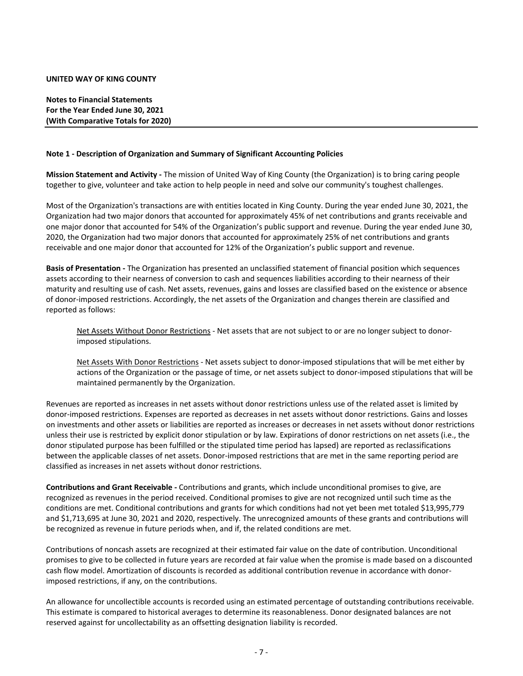**Notes to Financial Statements For the Year Ended June 30, 2021 (With Comparative Totals for 2020)**

#### **Note 1 ‐ Description of Organization and Summary of Significant Accounting Policies**

**Mission Statement and Activity ‐** The mission of United Way of King County (the Organization) is to bring caring people together to give, volunteer and take action to help people in need and solve our community's toughest challenges.

Most of the Organization's transactions are with entities located in King County. During the year ended June 30, 2021, the Organization had two major donors that accounted for approximately 45% of net contributions and grants receivable and one major donor that accounted for 54% of the Organization's public support and revenue. During the year ended June 30, 2020, the Organization had two major donors that accounted for approximately 25% of net contributions and grants receivable and one major donor that accounted for 12% of the Organization's public support and revenue.

**Basis of Presentation ‐** The Organization has presented an unclassified statement of financial position which sequences assets according to their nearness of conversion to cash and sequences liabilities according to their nearness of their maturity and resulting use of cash. Net assets, revenues, gains and losses are classified based on the existence or absence of donor‐imposed restrictions. Accordingly, the net assets of the Organization and changes therein are classified and reported as follows:

Net Assets Without Donor Restrictions ‐ Net assets that are not subject to or are no longer subject to donor‐ imposed stipulations.

Net Assets With Donor Restrictions ‐ Net assets subject to donor‐imposed stipulations that will be met either by actions of the Organization or the passage of time, or net assets subject to donor-imposed stipulations that will be maintained permanently by the Organization.

Revenues are reported as increases in net assets without donor restrictions unless use of the related asset is limited by donor‐imposed restrictions. Expenses are reported as decreases in net assets without donor restrictions. Gains and losses on investments and other assets or liabilities are reported as increases or decreases in net assets without donor restrictions unless their use is restricted by explicit donor stipulation or by law. Expirations of donor restrictions on net assets (i.e., the donor stipulated purpose has been fulfilled or the stipulated time period has lapsed) are reported as reclassifications between the applicable classes of net assets. Donor-imposed restrictions that are met in the same reporting period are classified as increases in net assets without donor restrictions.

**Contributions and Grant Receivable ‐** Contributions and grants, which include unconditional promises to give, are recognized as revenues in the period received. Conditional promises to give are not recognized until such time as the conditions are met. Conditional contributions and grants for which conditions had not yet been met totaled \$13,995,779 and \$1,713,695 at June 30, 2021 and 2020, respectively. The unrecognized amounts of these grants and contributions will be recognized as revenue in future periods when, and if, the related conditions are met.

Contributions of noncash assets are recognized at their estimated fair value on the date of contribution. Unconditional promises to give to be collected in future years are recorded at fair value when the promise is made based on a discounted cash flow model. Amortization of discounts is recorded as additional contribution revenue in accordance with donor‐ imposed restrictions, if any, on the contributions.

An allowance for uncollectible accounts is recorded using an estimated percentage of outstanding contributions receivable. This estimate is compared to historical averages to determine its reasonableness. Donor designated balances are not reserved against for uncollectability as an offsetting designation liability is recorded.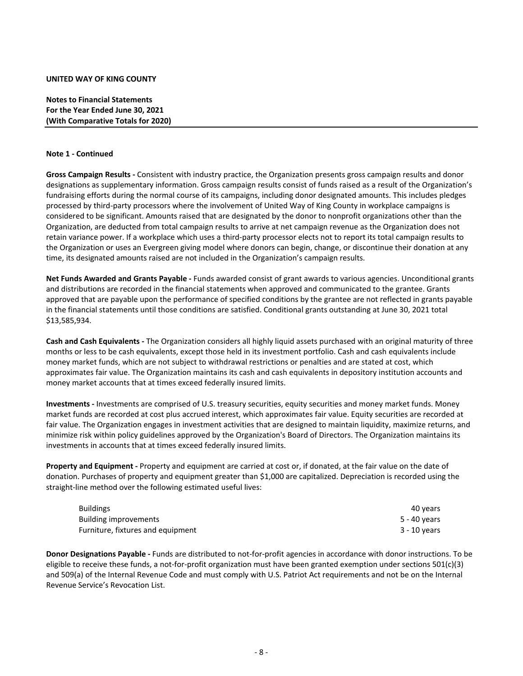**Notes to Financial Statements For the Year Ended June 30, 2021 (With Comparative Totals for 2020)**

#### **Note 1 ‐ Continued**

**Gross Campaign Results ‐** Consistent with industry practice, the Organization presents gross campaign results and donor designations as supplementary information. Gross campaign results consist of funds raised as a result of the Organization's fundraising efforts during the normal course of its campaigns, including donor designated amounts. This includes pledges processed by third‐party processors where the involvement of United Way of King County in workplace campaigns is considered to be significant. Amounts raised that are designated by the donor to nonprofit organizations other than the Organization, are deducted from total campaign results to arrive at net campaign revenue as the Organization does not retain variance power. If a workplace which uses a third‐party processor elects not to report its total campaign results to the Organization or uses an Evergreen giving model where donors can begin, change, or discontinue their donation at any time, its designated amounts raised are not included in the Organization's campaign results.

**Net Funds Awarded and Grants Payable ‐** Funds awarded consist of grant awards to various agencies. Unconditional grants and distributions are recorded in the financial statements when approved and communicated to the grantee. Grants approved that are payable upon the performance of specified conditions by the grantee are not reflected in grants payable in the financial statements until those conditions are satisfied. Conditional grants outstanding at June 30, 2021 total \$13,585,934.

**Cash and Cash Equivalents ‐** The Organization considers all highly liquid assets purchased with an original maturity of three months or less to be cash equivalents, except those held in its investment portfolio. Cash and cash equivalents include money market funds, which are not subject to withdrawal restrictions or penalties and are stated at cost, which approximates fair value. The Organization maintains its cash and cash equivalents in depository institution accounts and money market accounts that at times exceed federally insured limits.

Investments - Investments are comprised of U.S. treasury securities, equity securities and money market funds. Money market funds are recorded at cost plus accrued interest, which approximates fair value. Equity securities are recorded at fair value. The Organization engages in investment activities that are designed to maintain liquidity, maximize returns, and minimize risk within policy guidelines approved by the Organization's Board of Directors. The Organization maintains its investments in accounts that at times exceed federally insured limits.

**Property and Equipment ‐** Property and equipment are carried at cost or, if donated, at the fair value on the date of donation. Purchases of property and equipment greater than \$1,000 are capitalized. Depreciation is recorded using the straight-line method over the following estimated useful lives:

| Buildings                         | 40 years     |
|-----------------------------------|--------------|
| Building improvements             | 5 - 40 vears |
| Furniture, fixtures and equipment | 3 - 10 vears |

**Donor Designations Payable ‐** Funds are distributed to not‐for‐profit agencies in accordance with donor instructions. To be eligible to receive these funds, a not-for-profit organization must have been granted exemption under sections  $501(c)(3)$ and 509(a) of the Internal Revenue Code and must comply with U.S. Patriot Act requirements and not be on the Internal Revenue Service's Revocation List.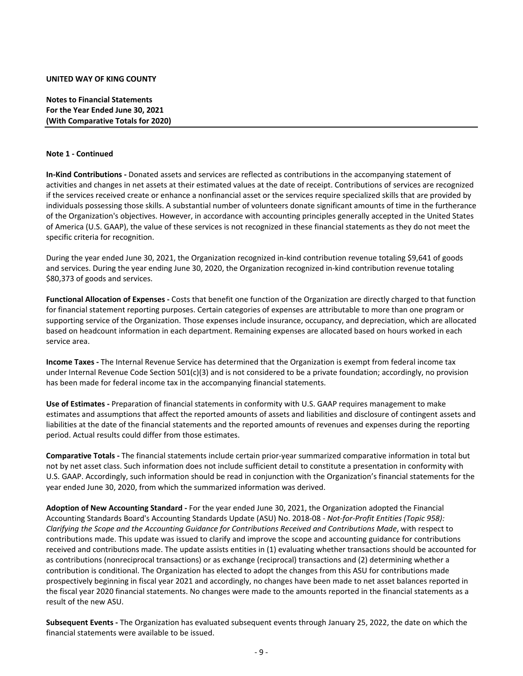**Notes to Financial Statements For the Year Ended June 30, 2021 (With Comparative Totals for 2020)**

#### **Note 1 ‐ Continued**

**In‐Kind Contributions ‐** Donated assets and services are reflected as contributions in the accompanying statement of activities and changes in net assets at their estimated values at the date of receipt. Contributions of services are recognized if the services received create or enhance a nonfinancial asset or the services require specialized skills that are provided by individuals possessing those skills. A substantial number of volunteers donate significant amounts of time in the furtherance of the Organization's objectives. However, in accordance with accounting principles generally accepted in the United States of America (U.S. GAAP), the value of these services is not recognized in these financial statements as they do not meet the specific criteria for recognition.

During the year ended June 30, 2021, the Organization recognized in‐kind contribution revenue totaling \$9,641 of goods and services. During the year ending June 30, 2020, the Organization recognized in-kind contribution revenue totaling \$80,373 of goods and services.

**Functional Allocation of Expenses ‐** Costs that benefit one function of the Organization are directly charged to that function for financial statement reporting purposes. Certain categories of expenses are attributable to more than one program or supporting service of the Organization. Those expenses include insurance, occupancy, and depreciation, which are allocated based on headcount information in each department. Remaining expenses are allocated based on hours worked in each service area.

**Income Taxes ‐** The Internal Revenue Service has determined that the Organization is exempt from federal income tax under Internal Revenue Code Section 501(c)(3) and is not considered to be a private foundation; accordingly, no provision has been made for federal income tax in the accompanying financial statements.

**Use of Estimates ‐** Preparation of financial statements in conformity with U.S. GAAP requires management to make estimates and assumptions that affect the reported amounts of assets and liabilities and disclosure of contingent assets and liabilities at the date of the financial statements and the reported amounts of revenues and expenses during the reporting period. Actual results could differ from those estimates.

**Comparative Totals ‐** The financial statements include certain prior‐year summarized comparative information in total but not by net asset class. Such information does not include sufficient detail to constitute a presentation in conformity with U.S. GAAP. Accordingly, such information should be read in conjunction with the Organization's financial statements for the year ended June 30, 2020, from which the summarized information was derived.

**Adoption of New Accounting Standard ‐** For the year ended June 30, 2021, the Organization adopted the Financial Accounting Standards Board's Accounting Standards Update (ASU) No. 2018‐08 ‐ *Not‐for‐Profit Entities (Topic 958): Clarifying the Scope and the Accounting Guidance for Contributions Received and Contributions Made*, with respect to contributions made. This update was issued to clarify and improve the scope and accounting guidance for contributions received and contributions made. The update assists entities in (1) evaluating whether transactions should be accounted for as contributions (nonreciprocal transactions) or as exchange (reciprocal) transactions and (2) determining whether a contribution is conditional. The Organization has elected to adopt the changes from this ASU for contributions made prospectively beginning in fiscal year 2021 and accordingly, no changes have been made to net asset balances reported in the fiscal year 2020 financial statements. No changes were made to the amounts reported in the financial statements as a result of the new ASU.

**Subsequent Events ‐** The Organization has evaluated subsequent events through January 25, 2022, the date on which the financial statements were available to be issued.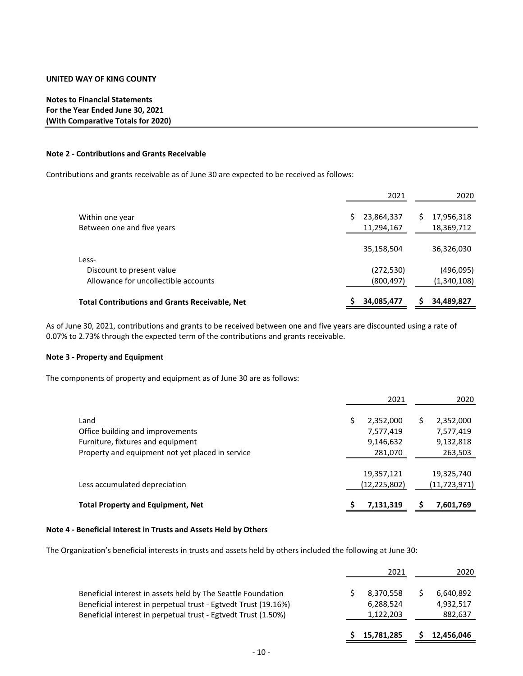**Notes to Financial Statements For the Year Ended June 30, 2021 (With Comparative Totals for 2020)**

#### **Note 2 ‐ Contributions and Grants Receivable**

Contributions and grants receivable as of June 30 are expected to be received as follows:

|                                                                   | 2021                          | 2020                          |
|-------------------------------------------------------------------|-------------------------------|-------------------------------|
| Within one year<br>Between one and five years                     | 23,864,337<br>Ś<br>11,294,167 | 17,956,318<br>S<br>18,369,712 |
| Less-                                                             | 35,158,504                    | 36,326,030                    |
| Discount to present value<br>Allowance for uncollectible accounts | (272, 530)<br>(800, 497)      | (496,095)<br>(1,340,108)      |
| <b>Total Contributions and Grants Receivable, Net</b>             | 34,085,477                    | 34,489,827                    |

As of June 30, 2021, contributions and grants to be received between one and five years are discounted using a rate of 0.07% to 2.73% through the expected term of the contributions and grants receivable.

#### **Note 3 ‐ Property and Equipment**

The components of property and equipment as of June 30 are as follows:

|                                                  | 2021            | 2020            |
|--------------------------------------------------|-----------------|-----------------|
| Land                                             | \$<br>2,352,000 | \$<br>2,352,000 |
| Office building and improvements                 | 7,577,419       | 7,577,419       |
| Furniture, fixtures and equipment                | 9,146,632       | 9,132,818       |
| Property and equipment not yet placed in service | 281,070         | 263,503         |
|                                                  |                 |                 |
|                                                  | 19,357,121      | 19,325,740      |
| Less accumulated depreciation                    | (12, 225, 802)  | (11, 723, 971)  |
| <b>Total Property and Equipment, Net</b>         | 7,131,319       | 7,601,769       |

### **Note 4 ‐ Beneficial Interest in Trusts and Assets Held by Others**

The Organization's beneficial interests in trusts and assets held by others included the following at June 30:

|                                                                                                                                                                                                   | 2021                                | 2020                              |
|---------------------------------------------------------------------------------------------------------------------------------------------------------------------------------------------------|-------------------------------------|-----------------------------------|
| Beneficial interest in assets held by The Seattle Foundation<br>Beneficial interest in perpetual trust - Egtvedt Trust (19.16%)<br>Beneficial interest in perpetual trust - Egtvedt Trust (1.50%) | 8,370,558<br>6,288,524<br>1,122,203 | 6,640,892<br>4,932,517<br>882,637 |
|                                                                                                                                                                                                   | 15,781,285                          | 12,456,046                        |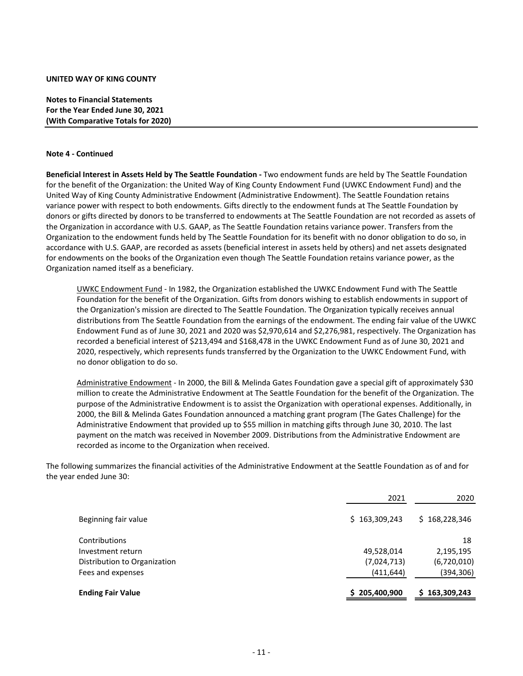**Notes to Financial Statements For the Year Ended June 30, 2021 (With Comparative Totals for 2020)**

#### **Note 4 ‐ Continued**

**Beneficial Interest in Assets Held by The Seattle Foundation ‐** Two endowment funds are held by The Seattle Foundation for the benefit of the Organization: the United Way of King County Endowment Fund (UWKC Endowment Fund) and the United Way of King County Administrative Endowment (Administrative Endowment). The Seattle Foundation retains variance power with respect to both endowments. Gifts directly to the endowment funds at The Seattle Foundation by donors or gifts directed by donors to be transferred to endowments at The Seattle Foundation are not recorded as assets of the Organization in accordance with U.S. GAAP, as The Seattle Foundation retains variance power. Transfers from the Organization to the endowment funds held by The Seattle Foundation for its benefit with no donor obligation to do so, in accordance with U.S. GAAP, are recorded as assets (beneficial interest in assets held by others) and net assets designated for endowments on the books of the Organization even though The Seattle Foundation retains variance power, as the Organization named itself as a beneficiary.

UWKC Endowment Fund ‐ In 1982, the Organization established the UWKC Endowment Fund with The Seattle Foundation for the benefit of the Organization. Gifts from donors wishing to establish endowments in support of the Organization's mission are directed to The Seattle Foundation. The Organization typically receives annual distributions from The Seattle Foundation from the earnings of the endowment. The ending fair value of the UWKC Endowment Fund as of June 30, 2021 and 2020 was \$2,970,614 and \$2,276,981, respectively. The Organization has recorded a beneficial interest of \$213,494 and \$168,478 in the UWKC Endowment Fund as of June 30, 2021 and 2020, respectively, which represents funds transferred by the Organization to the UWKC Endowment Fund, with no donor obligation to do so.

Administrative Endowment ‐ In 2000, the Bill & Melinda Gates Foundation gave a special gift of approximately \$30 million to create the Administrative Endowment at The Seattle Foundation for the benefit of the Organization. The purpose of the Administrative Endowment is to assist the Organization with operational expenses. Additionally, in 2000, the Bill & Melinda Gates Foundation announced a matching grant program (The Gates Challenge) for the Administrative Endowment that provided up to \$55 million in matching gifts through June 30, 2010. The last payment on the match was received in November 2009. Distributions from the Administrative Endowment are recorded as income to the Organization when received.

The following summarizes the financial activities of the Administrative Endowment at the Seattle Foundation as of and for the year ended June 30:

|                              | 2021          | 2020          |
|------------------------------|---------------|---------------|
| Beginning fair value         | \$163,309,243 | \$168,228,346 |
| Contributions                |               | 18            |
| Investment return            | 49,528,014    | 2,195,195     |
| Distribution to Organization | (7,024,713)   | (6,720,010)   |
| Fees and expenses            | (411, 644)    | (394,306)     |
| <b>Ending Fair Value</b>     | 205,400,900   | 163,309,243   |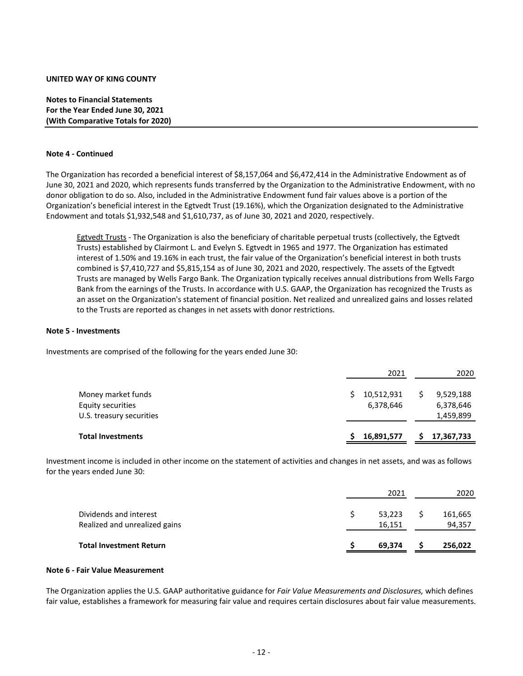**Notes to Financial Statements For the Year Ended June 30, 2021 (With Comparative Totals for 2020)**

#### **Note 4 ‐ Continued**

The Organization has recorded a beneficial interest of \$8,157,064 and \$6,472,414 in the Administrative Endowment as of June 30, 2021 and 2020, which represents funds transferred by the Organization to the Administrative Endowment, with no donor obligation to do so. Also, included in the Administrative Endowment fund fair values above is a portion of the Organization's beneficial interest in the Egtvedt Trust (19.16%), which the Organization designated to the Administrative Endowment and totals \$1,932,548 and \$1,610,737, as of June 30, 2021 and 2020, respectively.

Egtvedt Trusts - The Organization is also the beneficiary of charitable perpetual trusts (collectively, the Egtvedt Trusts) established by Clairmont L. and Evelyn S. Egtvedt in 1965 and 1977. The Organization has estimated interest of 1.50% and 19.16% in each trust, the fair value of the Organization's beneficial interest in both trusts combined is \$7,410,727 and \$5,815,154 as of June 30, 2021 and 2020, respectively. The assets of the Egtvedt Trusts are managed by Wells Fargo Bank. The Organization typically receives annual distributions from Wells Fargo Bank from the earnings of the Trusts. In accordance with U.S. GAAP, the Organization has recognized the Trusts as an asset on the Organization's statement of financial position. Net realized and unrealized gains and losses related to the Trusts are reported as changes in net assets with donor restrictions.

#### **Note 5 ‐ Investments**

Investments are comprised of the following for the years ended June 30:

| Equity securities<br>U.S. treasury securities | 6,378,646  | 6,378,646<br>1,459,899 |
|-----------------------------------------------|------------|------------------------|
|                                               |            |                        |
| <b>Total Investments</b>                      | 16,891,577 | 17,367,733             |

Investment income is included in other income on the statement of activities and changes in net assets, and was as follows for the years ended June 30:

|                                                         | 2021             | 2020              |
|---------------------------------------------------------|------------------|-------------------|
| Dividends and interest<br>Realized and unrealized gains | 53,223<br>16,151 | 161,665<br>94,357 |
| <b>Total Investment Return</b>                          | 69,374           | 256,022           |

#### **Note 6 ‐ Fair Value Measurement**

The Organization applies the U.S. GAAP authoritative guidance for *Fair Value Measurements and Disclosures,* which defines fair value, establishes a framework for measuring fair value and requires certain disclosures about fair value measurements.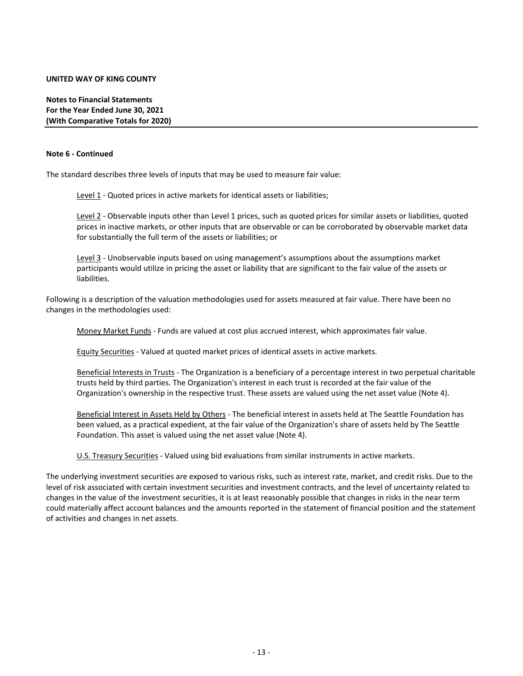**Notes to Financial Statements For the Year Ended June 30, 2021 (With Comparative Totals for 2020)**

#### **Note 6 ‐ Continued**

The standard describes three levels of inputs that may be used to measure fair value:

Level 1 - Quoted prices in active markets for identical assets or liabilities;

Level 2 ‐ Observable inputs other than Level 1 prices, such as quoted prices for similar assets or liabilities, quoted prices in inactive markets, or other inputs that are observable or can be corroborated by observable market data for substantially the full term of the assets or liabilities; or

Level 3 - Unobservable inputs based on using management's assumptions about the assumptions market participants would utilize in pricing the asset or liability that are significant to the fair value of the assets or liabilities.

Following is a description of the valuation methodologies used for assets measured at fair value. There have been no changes in the methodologies used:

Money Market Funds ‐ Funds are valued at cost plus accrued interest, which approximates fair value.

Equity Securities ‐ Valued at quoted market prices of identical assets in active markets.

Beneficial Interests in Trusts ‐ The Organization is a beneficiary of a percentage interest in two perpetual charitable trusts held by third parties. The Organization's interest in each trust is recorded at the fair value of the Organization's ownership in the respective trust. These assets are valued using the net asset value (Note 4).

Beneficial Interest in Assets Held by Others ‐ The beneficial interest in assets held at The Seattle Foundation has been valued, as a practical expedient, at the fair value of the Organization's share of assets held by The Seattle Foundation. This asset is valued using the net asset value (Note 4).

U.S. Treasury Securities ‐ Valued using bid evaluations from similar instruments in active markets.

The underlying investment securities are exposed to various risks, such as interest rate, market, and credit risks. Due to the level of risk associated with certain investment securities and investment contracts, and the level of uncertainty related to changes in the value of the investment securities, it is at least reasonably possible that changes in risks in the near term could materially affect account balances and the amounts reported in the statement of financial position and the statement of activities and changes in net assets.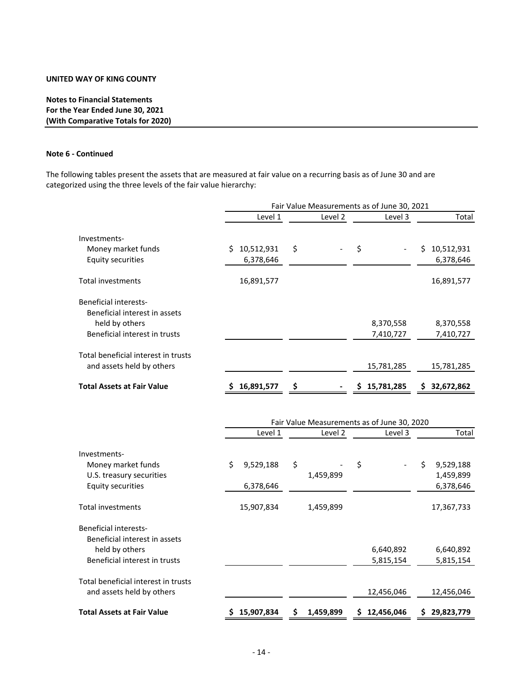# **Notes to Financial Statements For the Year Ended June 30, 2021 (With Comparative Totals for 2020)**

#### **Note 6 ‐ Continued**

The following tables present the assets that are measured at fair value on a recurring basis as of June 30 and are categorized using the three levels of the fair value hierarchy:

|                                                               | Fair Value Measurements as of June 30, 2021 |         |  |                  |                  |  |  |
|---------------------------------------------------------------|---------------------------------------------|---------|--|------------------|------------------|--|--|
|                                                               | Level 1                                     | Level 2 |  | Level 3          | Total            |  |  |
| Investments-                                                  |                                             |         |  |                  |                  |  |  |
| Money market funds                                            | 10,512,931<br>S.                            | \$      |  | \$               | 10,512,931<br>S. |  |  |
| Equity securities                                             | 6,378,646                                   |         |  |                  | 6,378,646        |  |  |
| Total investments                                             | 16,891,577                                  |         |  |                  | 16,891,577       |  |  |
| <b>Beneficial interests-</b><br>Beneficial interest in assets |                                             |         |  |                  |                  |  |  |
| held by others                                                |                                             |         |  | 8,370,558        | 8,370,558        |  |  |
| Beneficial interest in trusts                                 |                                             |         |  | 7,410,727        | 7,410,727        |  |  |
| Total beneficial interest in trusts                           |                                             |         |  |                  |                  |  |  |
| and assets held by others                                     |                                             |         |  | 15,781,285       | 15,781,285       |  |  |
| <b>Total Assets at Fair Value</b>                             | 16,891,577                                  | \$      |  | 15,781,285<br>S. | 32,672,862<br>S. |  |  |

|                                                                  | Fair Value Measurements as of June 30, 2020 |                 |                  |                 |  |  |
|------------------------------------------------------------------|---------------------------------------------|-----------------|------------------|-----------------|--|--|
|                                                                  | Level 1                                     | Level 2         | Level 3          | Total           |  |  |
| Investments-                                                     |                                             |                 |                  |                 |  |  |
| Money market funds                                               | \$<br>9,529,188                             | \$              | \$               | Ś.<br>9,529,188 |  |  |
| U.S. treasury securities                                         |                                             | 1,459,899       |                  | 1,459,899       |  |  |
| Equity securities                                                | 6,378,646                                   |                 |                  | 6,378,646       |  |  |
| <b>Total investments</b>                                         | 15,907,834                                  | 1,459,899       |                  | 17,367,733      |  |  |
| <b>Beneficial interests-</b><br>Beneficial interest in assets    |                                             |                 |                  |                 |  |  |
| held by others                                                   |                                             |                 | 6,640,892        | 6,640,892       |  |  |
| Beneficial interest in trusts                                    |                                             |                 | 5,815,154        | 5,815,154       |  |  |
| Total beneficial interest in trusts<br>and assets held by others |                                             |                 | 12,456,046       | 12,456,046      |  |  |
| <b>Total Assets at Fair Value</b>                                | 15,907,834<br>S                             | 1,459,899<br>S. | 12,456,046<br>S. | 29,823,779<br>S |  |  |
|                                                                  |                                             |                 |                  |                 |  |  |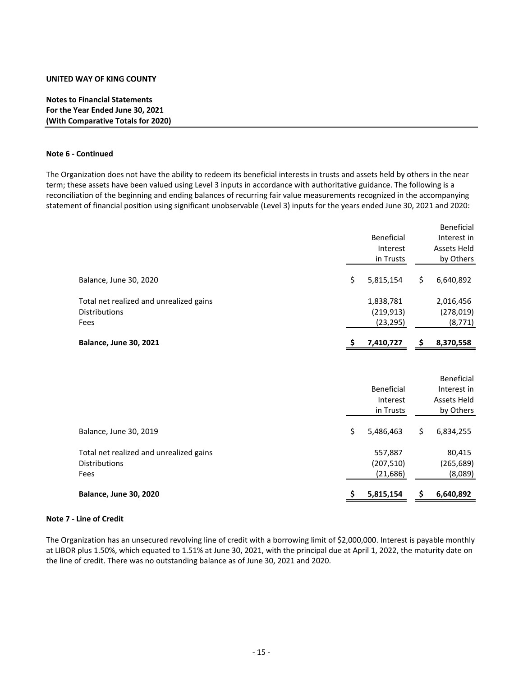**Notes to Financial Statements For the Year Ended June 30, 2021 (With Comparative Totals for 2020)**

#### **Note 6 ‐ Continued**

The Organization does not have the ability to redeem its beneficial interests in trusts and assets held by others in the near term; these assets have been valued using Level 3 inputs in accordance with authoritative guidance. The following is a reconciliation of the beginning and ending balances of recurring fair value measurements recognized in the accompanying statement of financial position using significant unobservable (Level 3) inputs for the years ended June 30, 2021 and 2020:

|                                         |                 | Beneficial         |
|-----------------------------------------|-----------------|--------------------|
|                                         | Beneficial      | Interest in        |
|                                         | Interest        | <b>Assets Held</b> |
|                                         | in Trusts       | by Others          |
|                                         |                 |                    |
| Balance, June 30, 2020                  | \$<br>5,815,154 | \$<br>6,640,892    |
| Total net realized and unrealized gains | 1,838,781       | 2,016,456          |
| Distributions                           | (219, 913)      | (278, 019)         |
| Fees                                    | (23, 295)       | (8, 771)           |
|                                         |                 |                    |
| <b>Balance, June 30, 2021</b>           | 7,410,727       | \$<br>8,370,558    |
|                                         |                 |                    |
|                                         |                 | Beneficial         |
|                                         | Beneficial      | Interest in        |
|                                         | Interest        | <b>Assets Held</b> |
|                                         | in Trusts       | by Others          |
|                                         |                 |                    |
| Balance, June 30, 2019                  | \$<br>5,486,463 | \$<br>6,834,255    |
| Total net realized and unrealized gains | 557,887         | 80,415             |
| <b>Distributions</b>                    | (207, 510)      | (265, 689)         |
| Fees                                    | (21, 686)       | (8,089)            |
|                                         |                 |                    |

# **Note 7 ‐ Line of Credit**

The Organization has an unsecured revolving line of credit with a borrowing limit of \$2,000,000. Interest is payable monthly at LIBOR plus 1.50%, which equated to 1.51% at June 30, 2021, with the principal due at April 1, 2022, the maturity date on the line of credit. There was no outstanding balance as of June 30, 2021 and 2020.

**Balance, June 30, 2020 5,815,154 \$ \$ 6,640,892**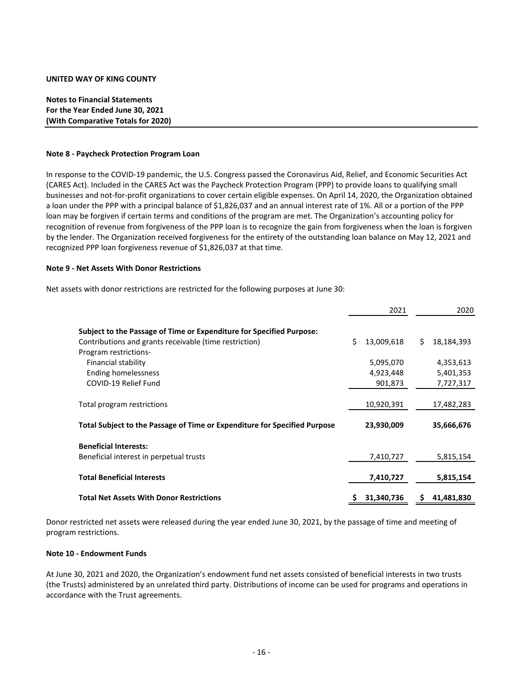**Notes to Financial Statements For the Year Ended June 30, 2021 (With Comparative Totals for 2020)**

#### **Note 8 ‐ Paycheck Protection Program Loan**

In response to the COVID‐19 pandemic, the U.S. Congress passed the Coronavirus Aid, Relief, and Economic Securities Act (CARES Act). Included in the CARES Act was the Paycheck Protection Program (PPP) to provide loans to qualifying small businesses and not‐for‐profit organizations to cover certain eligible expenses. On April 14, 2020, the Organization obtained a loan under the PPP with a principal balance of \$1,826,037 and an annual interest rate of 1%. All or a portion of the PPP loan may be forgiven if certain terms and conditions of the program are met. The Organization's accounting policy for recognition of revenue from forgiveness of the PPP loan is to recognize the gain from forgiveness when the loan is forgiven by the lender. The Organization received forgiveness for the entirety of the outstanding loan balance on May 12, 2021 and recognized PPP loan forgiveness revenue of \$1,826,037 at that time.

#### **Note 9 ‐ Net Assets With Donor Restrictions**

Net assets with donor restrictions are restricted for the following purposes at June 30:

|                                                                           | 2021             | 2020             |
|---------------------------------------------------------------------------|------------------|------------------|
| Subject to the Passage of Time or Expenditure for Specified Purpose:      |                  |                  |
| Contributions and grants receivable (time restriction)                    | Ś.<br>13,009,618 | S.<br>18,184,393 |
| Program restrictions-                                                     |                  |                  |
| Financial stability                                                       | 5,095,070        | 4,353,613        |
| <b>Ending homelessness</b>                                                | 4,923,448        | 5,401,353        |
| COVID-19 Relief Fund                                                      | 901,873          | 7,727,317        |
|                                                                           |                  |                  |
| Total program restrictions                                                | 10,920,391       | 17,482,283       |
| Total Subject to the Passage of Time or Expenditure for Specified Purpose | 23,930,009       | 35,666,676       |
| <b>Beneficial Interests:</b>                                              |                  |                  |
| Beneficial interest in perpetual trusts                                   | 7,410,727        | 5,815,154        |
| <b>Total Beneficial Interests</b>                                         | 7,410,727        | 5,815,154        |
| <b>Total Net Assets With Donor Restrictions</b>                           | 31,340,736       | 41,481,830<br>s  |

Donor restricted net assets were released during the year ended June 30, 2021, by the passage of time and meeting of program restrictions.

#### **Note 10 ‐ Endowment Funds**

At June 30, 2021 and 2020, the Organization's endowment fund net assets consisted of beneficial interests in two trusts (the Trusts) administered by an unrelated third party. Distributions of income can be used for programs and operations in accordance with the Trust agreements.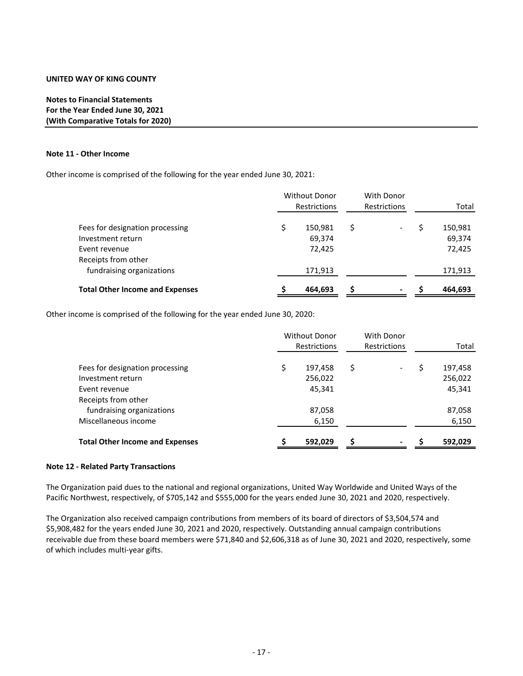# **Notes to Financial Statements For the Year Ended June 30, 2021 (With Comparative Totals for 2020)**

#### **Note 11 ‐ Other Income**

Other income is comprised of the following for the year ended June 30, 2021:

|                                        | <b>Without Donor</b><br>Restrictions |    | With Donor<br><b>Restrictions</b> |   | Total   |
|----------------------------------------|--------------------------------------|----|-----------------------------------|---|---------|
| Fees for designation processing        | 150,981                              | \$ | $\overline{\phantom{a}}$          | S | 150,981 |
| Investment return                      | 69,374                               |    |                                   |   | 69,374  |
| Event revenue                          | 72,425                               |    |                                   |   | 72,425  |
| Receipts from other                    |                                      |    |                                   |   |         |
| fundraising organizations              | 171,913                              |    |                                   |   | 171,913 |
| <b>Total Other Income and Expenses</b> | 464,693                              | S  | ٠                                 | S | 464,693 |

Other income is comprised of the following for the year ended June 30, 2020:

|                                        | <b>Without Donor</b><br><b>Restrictions</b> | With Donor<br>Restrictions |   | Total   |
|----------------------------------------|---------------------------------------------|----------------------------|---|---------|
| Fees for designation processing        | \$<br>197,458                               | \$                         | S | 197,458 |
| Investment return                      | 256,022                                     |                            |   | 256,022 |
| Event revenue                          | 45,341                                      |                            |   | 45,341  |
| Receipts from other                    |                                             |                            |   |         |
| fundraising organizations              | 87,058                                      |                            |   | 87,058  |
| Miscellaneous income                   | 6,150                                       |                            |   | 6,150   |
| <b>Total Other Income and Expenses</b> | 592,029                                     |                            |   | 592,029 |

#### **Note 12 ‐ Related Party Transactions**

The Organization paid dues to the national and regional organizations, United Way Worldwide and United Ways of the Pacific Northwest, respectively, of \$705,142 and \$555,000 for the years ended June 30, 2021 and 2020, respectively.

The Organization also received campaign contributions from members of its board of directors of \$3,504,574 and \$5,908,482 for the years ended June 30, 2021 and 2020, respectively. Outstanding annual campaign contributions receivable due from these board members were \$71,840 and \$2,606,318 as of June 30, 2021 and 2020, respectively, some of which includes multi‐year gifts.